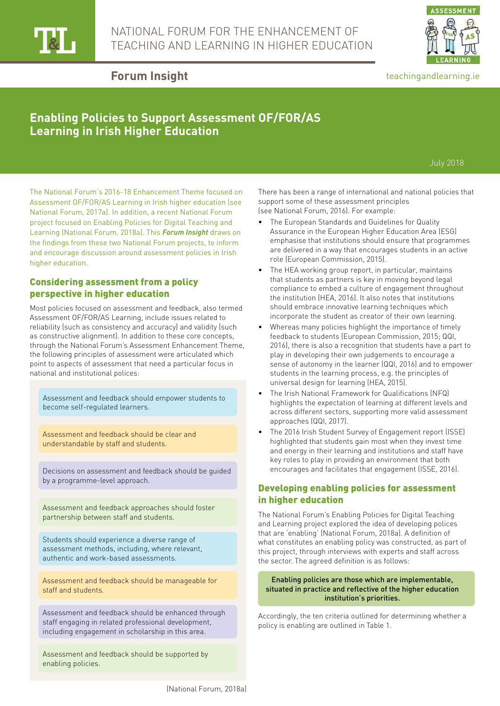



### teachingandlearning.ie

## **Forum Insight**

# **Enabling Policies to Support Assessment OF/FOR/AS Learning in Irish Higher Education**

July 2018

The National Forum's 2016-18 Enhancement Theme focused on Assessment OF/FOR/AS Learning in Irish higher education (see National Forum, 2017a). In addition, a recent National Forum project focused on Enabling Policies for Digital Teaching and Learning (National Forum, 2018a). This *Forum Insight* draws on the findings from these two National Forum projects, to inform and encourage discussion around assessment policies in Irish higher education.

### Considering assessment from a policy perspective in higher education

Most policies focused on assessment and feedback, also termed Assessment OF/FOR/AS Learning, include issues related to reliability (such as consistency and accuracy) and validity (such as constructive alignment). In addition to these core concepts, through the National Forum's Assessment Enhancement Theme, the following principles of assessment were articulated which point to aspects of assessment that need a particular focus in national and institutional polices:

Assessment and feedback should empower students to become self-regulated learners.

Assessment and feedback should be clear and understandable by staff and students.

Decisions on assessment and feedback should be guided by a programme-level approach.

Assessment and feedback approaches should foster partnership between staff and students.

Students should experience a diverse range of assessment methods, including, where relevant, authentic and work-based assessments.

Assessment and feedback should be manageable for staff and students.

Assessment and feedback should be enhanced through staff engaging in related professional development, including engagement in scholarship in this area.

Assessment and feedback should be supported by enabling policies.

There has been a range of international and national policies that support some of these assessment principles (see National Forum, 2016). For example:

- The European Standards and Guidelines for Quality Assurance in the European Higher Education Area (ESG) emphasise that institutions should ensure that programmes are delivered in a way that encourages students in an active role (European Commission, 2015).
- The HEA working group report, in particular, maintains that students as partners is key in moving beyond legal compliance to embed a culture of engagement throughout the institution (HEA, 2016). It also notes that institutions should embrace innovative learning techniques which incorporate the student as creator of their own learning.
- Whereas many policies highlight the importance of timely feedback to students (European Commission, 2015; QQI, 2016), there is also a recognition that students have a part to play in developing their own judgements to encourage a sense of autonomy in the learner (QQI, 2016) and to empower students in the learning process, e.g. the principles of universal design for learning (HEA, 2015).
- The Irish National Framework for Qualifications (NFQ) highlights the expectation of learning at different levels and across different sectors, supporting more valid assessment approaches (QQI, 2017).
- The 2016 Irish Student Survey of Engagement report (ISSE) highlighted that students gain most when they invest time and energy in their learning and institutions and staff have key roles to play in providing an environment that both encourages and facilitates that engagement (ISSE, 2016).

## Developing enabling policies for assessment in higher education

The National Forum's Enabling Policies for Digital Teaching and Learning project explored the idea of developing polices that are 'enabling' (National Forum, 2018a). A definition of what constitutes an enabling policy was constructed, as part of this project, through interviews with experts and staff across the sector. The agreed definition is as follows:

#### Enabling policies are those which are implementable, situated in practice and reflective of the higher education institution's priorities.

Accordingly, the ten criteria outlined for determining whether a policy is enabling are outlined in Table 1.